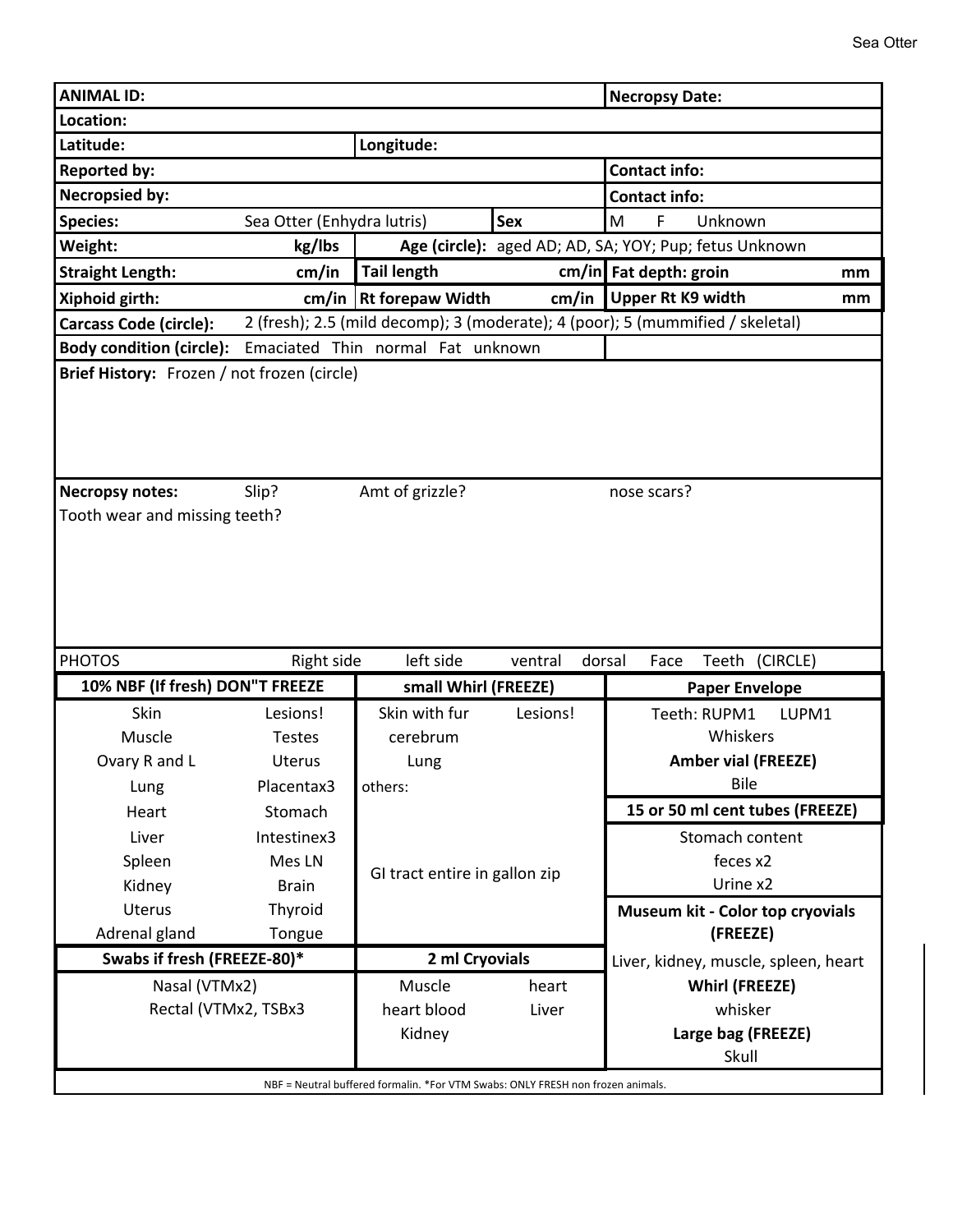| <b>ANIMAL ID:</b>                                                                                  |               |                                                          |            | <b>Necropsy Date:</b>                                                          |    |  |
|----------------------------------------------------------------------------------------------------|---------------|----------------------------------------------------------|------------|--------------------------------------------------------------------------------|----|--|
| Location:                                                                                          |               |                                                          |            |                                                                                |    |  |
| Latitude:                                                                                          |               | Longitude:                                               |            |                                                                                |    |  |
| <b>Reported by:</b>                                                                                |               |                                                          |            | <b>Contact info:</b>                                                           |    |  |
| <b>Necropsied by:</b>                                                                              |               |                                                          |            | <b>Contact info:</b>                                                           |    |  |
| <b>Species:</b><br>Sea Otter (Enhydra lutris)                                                      |               |                                                          | <b>Sex</b> | F<br>M<br>Unknown                                                              |    |  |
| Weight:<br>kg/lbs                                                                                  |               |                                                          |            | Age (circle): aged AD; AD, SA; YOY; Pup; fetus Unknown                         |    |  |
| <b>Straight Length:</b>                                                                            | cm/in         | <b>Tail length</b>                                       |            | $cm/in$ Fat depth: groin                                                       | mm |  |
| Xiphoid girth:                                                                                     |               | cm/in $\vert$ Rt forepaw Width                           | cm/in      | <b>Upper Rt K9 width</b>                                                       | mm |  |
| <b>Carcass Code (circle):</b>                                                                      |               |                                                          |            | 2 (fresh); 2.5 (mild decomp); 3 (moderate); 4 (poor); 5 (mummified / skeletal) |    |  |
| Body condition (circle): Emaciated Thin normal Fat unknown                                         |               |                                                          |            |                                                                                |    |  |
| Brief History: Frozen / not frozen (circle)                                                        |               |                                                          |            |                                                                                |    |  |
| Slip?<br>Amt of grizzle?<br><b>Necropsy notes:</b><br>nose scars?<br>Tooth wear and missing teeth? |               |                                                          |            |                                                                                |    |  |
| <b>PHOTOS</b><br>Right side                                                                        |               | left side<br>Teeth (CIRCLE)<br>ventral<br>dorsal<br>Face |            |                                                                                |    |  |
| 10% NBF (If fresh) DON"T FREEZE                                                                    |               | small Whirl (FREEZE)                                     |            | <b>Paper Envelope</b>                                                          |    |  |
| Skin                                                                                               | Lesions!      | Skin with fur                                            | Lesions!   | Teeth: RUPM1<br>LUPM1                                                          |    |  |
| Muscle                                                                                             | <b>Testes</b> | cerebrum                                                 |            | Whiskers                                                                       |    |  |
| Ovary R and L                                                                                      | <b>Uterus</b> | Lung                                                     |            | <b>Amber vial (FREEZE)</b>                                                     |    |  |
| Lung                                                                                               | Placentax3    | others:                                                  |            | Bile                                                                           |    |  |
| Heart                                                                                              | Stomach       |                                                          |            | 15 or 50 ml cent tubes (FREEZE)                                                |    |  |
| Liver                                                                                              | Intestinex3   |                                                          |            | Stomach content                                                                |    |  |
| Spleen                                                                                             | Mes LN        |                                                          |            | feces x2                                                                       |    |  |
| Kidney                                                                                             | <b>Brain</b>  | GI tract entire in gallon zip<br>Urine x2                |            |                                                                                |    |  |
| Uterus                                                                                             |               |                                                          |            |                                                                                |    |  |
| Adrenal gland                                                                                      | Thyroid       |                                                          |            | Museum kit - Color top cryovials                                               |    |  |
| Swabs if fresh (FREEZE-80)*                                                                        |               |                                                          |            | (FREEZE)                                                                       |    |  |
|                                                                                                    | Tongue        | 2 ml Cryovials                                           |            | Liver, kidney, muscle, spleen, heart                                           |    |  |
| Nasal (VTMx2)                                                                                      |               | Muscle                                                   | heart      | <b>Whirl (FREEZE)</b>                                                          |    |  |
| Rectal (VTMx2, TSBx3                                                                               |               | heart blood                                              | Liver      | whisker                                                                        |    |  |
|                                                                                                    |               | Kidney                                                   |            | Large bag (FREEZE)                                                             |    |  |
|                                                                                                    |               |                                                          |            | Skull                                                                          |    |  |